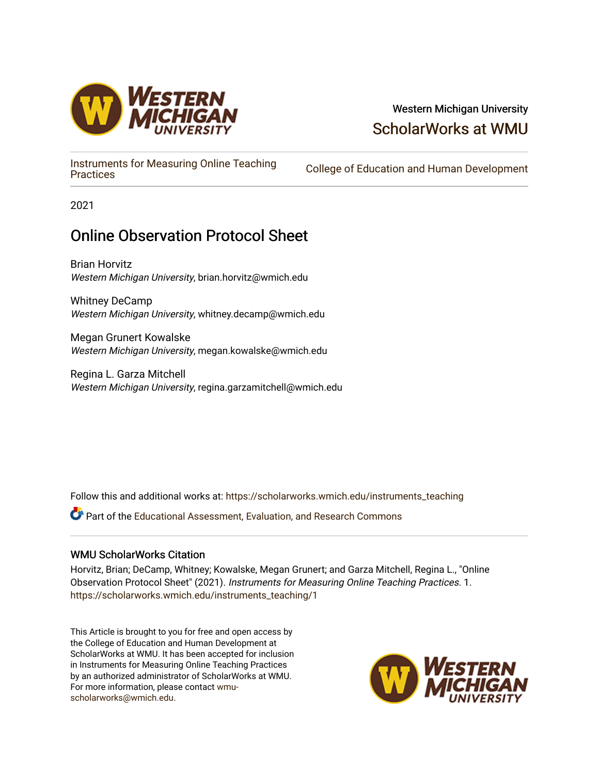

## Western Michigan University [ScholarWorks at WMU](https://scholarworks.wmich.edu/)

[Instruments for Measuring Online Teaching](https://scholarworks.wmich.edu/instruments_teaching) 

College of Education and Human Development

2021

## Online Observation Protocol Sheet

Brian Horvitz Western Michigan University, brian.horvitz@wmich.edu

Whitney DeCamp Western Michigan University, whitney.decamp@wmich.edu

Megan Grunert Kowalske Western Michigan University, megan.kowalske@wmich.edu

Regina L. Garza Mitchell Western Michigan University, regina.garzamitchell@wmich.edu

Follow this and additional works at: [https://scholarworks.wmich.edu/instruments\\_teaching](https://scholarworks.wmich.edu/instruments_teaching?utm_source=scholarworks.wmich.edu%2Finstruments_teaching%2F1&utm_medium=PDF&utm_campaign=PDFCoverPages)

Part of the [Educational Assessment, Evaluation, and Research Commons](http://network.bepress.com/hgg/discipline/796?utm_source=scholarworks.wmich.edu%2Finstruments_teaching%2F1&utm_medium=PDF&utm_campaign=PDFCoverPages)

## WMU ScholarWorks Citation

Horvitz, Brian; DeCamp, Whitney; Kowalske, Megan Grunert; and Garza Mitchell, Regina L., "Online Observation Protocol Sheet" (2021). Instruments for Measuring Online Teaching Practices. 1. [https://scholarworks.wmich.edu/instruments\\_teaching/1](https://scholarworks.wmich.edu/instruments_teaching/1?utm_source=scholarworks.wmich.edu%2Finstruments_teaching%2F1&utm_medium=PDF&utm_campaign=PDFCoverPages)

This Article is brought to you for free and open access by the College of Education and Human Development at ScholarWorks at WMU. It has been accepted for inclusion in Instruments for Measuring Online Teaching Practices by an authorized administrator of ScholarWorks at WMU. For more information, please contact [wmu](mailto:wmu-scholarworks@wmich.edu)[scholarworks@wmich.edu.](mailto:wmu-scholarworks@wmich.edu)

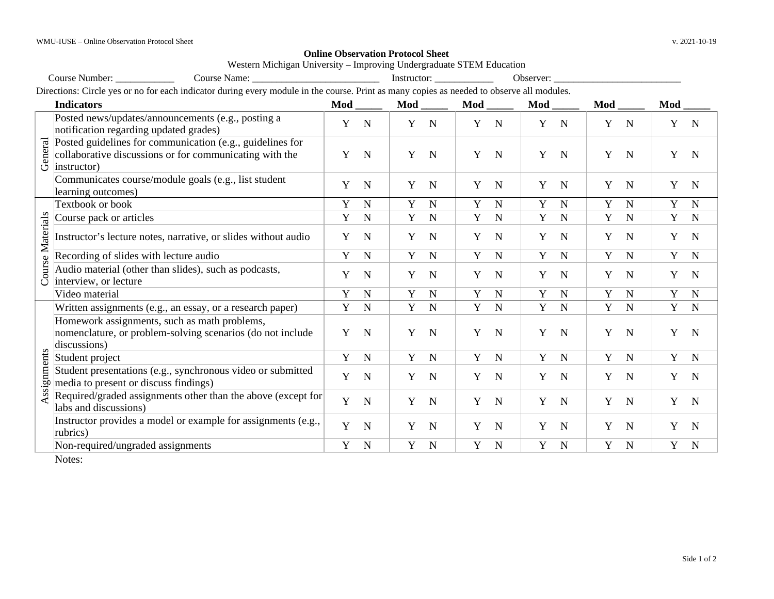## **Online Observation Protocol Sheet**

Western Michigan University – Improving Undergraduate STEM Education

|                      | Course Number:<br>Course Name:                                                                                                            |     |             |             |             |     |             | Observer:        |             |             |             |     |             |
|----------------------|-------------------------------------------------------------------------------------------------------------------------------------------|-----|-------------|-------------|-------------|-----|-------------|------------------|-------------|-------------|-------------|-----|-------------|
|                      | Directions: Circle yes or no for each indicator during every module in the course. Print as many copies as needed to observe all modules. |     |             |             |             |     |             |                  |             |             |             |     |             |
|                      | <b>Indicators</b>                                                                                                                         | Mod |             | Mod         |             | Mod |             | Mod              |             | Mod         |             | Mod |             |
| General              | Posted news/updates/announcements (e.g., posting a<br>notification regarding updated grades)                                              | Y   | $\mathbf N$ | $\mathbf Y$ | $\mathbf N$ | Y   | $\mathbf N$ | $\mathbf Y$      | $\mathbf N$ | Y           | $\mathbf N$ | Y   | $\mathbf N$ |
|                      | Posted guidelines for communication (e.g., guidelines for<br>collaborative discussions or for communicating with the<br>instructor)       | Y   | $\mathbf N$ | Y           | $\mathbf N$ | Y   | $\mathbf N$ | Y<br>$\mathbf N$ |             | Y           | $\mathbf N$ | Y   | $\mathbf N$ |
|                      | Communicates course/module goals (e.g., list student<br>learning outcomes)                                                                | Y   | $\mathbf N$ | Y           | $\mathbf N$ | Y   | $\mathbf N$ | Y                | $\mathbf N$ | Y           | $\mathbf N$ | Y   | $\mathbf N$ |
|                      | Textbook or book                                                                                                                          | Y   | $\mathbf N$ | Y           | $\mathbf N$ | Y   | $\mathbf N$ | Y                | $\mathbf N$ | Y           | N           | Y   | $\mathbf N$ |
| ourse Materials<br>Ũ | Course pack or articles                                                                                                                   | Y   | $\mathbf N$ | Y           | $\mathbf N$ | Y   | $\mathbf N$ | Y                | $\mathbf N$ | Y           | $\mathbf N$ | Y   | $\mathbf N$ |
|                      | Instructor's lecture notes, narrative, or slides without audio                                                                            | Y   | $\mathbf N$ | Y           | $\mathbf N$ | Y   | $\mathbf N$ | Y                | $\mathbf N$ | Y           | $\mathbf N$ | Y   | $\mathbf N$ |
|                      | Recording of slides with lecture audio                                                                                                    | Y   | $\mathbf N$ | Y           | $\mathbf N$ | Y   | $\mathbf N$ | $\mathbf Y$      | $\mathbf N$ | $\mathbf Y$ | $\mathbf N$ | Y   | $\mathbf N$ |
|                      | Audio material (other than slides), such as podcasts,<br>interview, or lecture                                                            | Y   | $\mathbf N$ | Y           | $\mathbf N$ | Y   | $\mathbf N$ | $\mathbf N$<br>Y |             | Y           | $\mathbf N$ | Y   | $\mathbf N$ |
|                      | Video material                                                                                                                            | Y   | $\mathbf N$ | Y           | $\mathbf N$ | Y   | $\mathbf N$ | Y                | $\mathbf N$ | Y           | $\mathbf N$ | Y   | $\mathbf N$ |
|                      | Written assignments (e.g., an essay, or a research paper)                                                                                 | Y   | $\mathbf N$ | $\mathbf Y$ | $\mathbf N$ | Y   | $\mathbf N$ | $\mathbf Y$      | $\mathbf N$ | $\mathbf Y$ | $\mathbf N$ | Y   | $\mathbf N$ |
| Assignments          | Homework assignments, such as math problems,<br>nomenclature, or problem-solving scenarios (do not include<br>discussions)                | Y   | $\mathbf N$ | Y           | N           | Y   | $\mathbf N$ | Y                | $\mathbf N$ | Y           | $\mathbf N$ | Y   | N           |
|                      | Student project                                                                                                                           | Y   | $\mathbf N$ | Y           | $\mathbf N$ | Y   | $\mathbf N$ | Y<br>$\mathbf N$ |             | Y           | $\mathbf N$ | Y   | $\mathbb N$ |
|                      | Student presentations (e.g., synchronous video or submitted<br>media to present or discuss findings)                                      | Y   | $\mathbf N$ | Y           | $\mathbf N$ | Y   | $\mathbf N$ | Y<br>$\mathbf N$ |             | Y           | $\mathbf N$ | Y   | $\mathbf N$ |
|                      | Required/graded assignments other than the above (except for<br>labs and discussions)                                                     | Y   | $\mathbf N$ | Y           | $\mathbf N$ | Y   | $\mathbf N$ | Y                | $\mathbf N$ | Y           | $\mathbf N$ | Y   | $\mathbf N$ |
|                      | Instructor provides a model or example for assignments (e.g.,<br>rubrics)                                                                 | Y   | $\mathbf N$ | Y           | N           | Y   | $\mathbf N$ | Y                | $\mathbf N$ | Y           | $\mathbf N$ | Y   | $\mathbf N$ |
|                      | Non-required/ungraded assignments                                                                                                         | Y   | $\mathbf N$ | Y           | $\mathbf N$ | Y   | $\mathbf N$ | Y                | $\mathbf N$ | Y           | $\mathbf N$ | Y   | $\mathbf N$ |
|                      | $\mathbf{X}$                                                                                                                              |     |             |             |             |     |             |                  |             |             |             |     |             |

Notes: